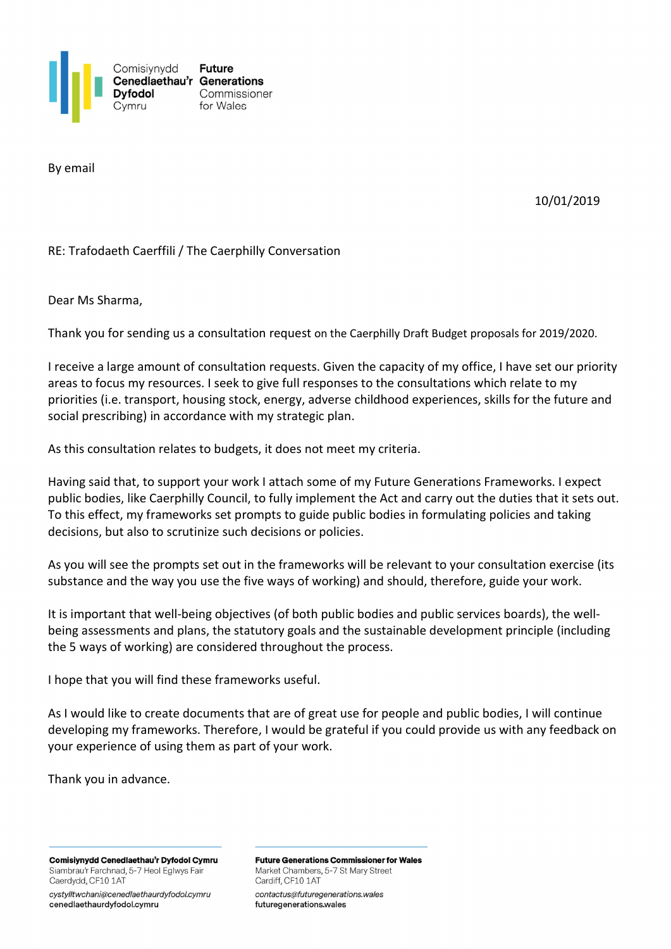

By email

10/01/2019

## RE: Trafodaeth Caerffili / The Caerphilly Conversation

Dear Ms Sharma,

Thank you for sending us a consultation request on the Caerphilly Draft Budget proposals for 2019/2020.

I receive a large amount of consultation requests. Given the capacity of my office, I have set our priority areas to focus my resources. I seek to give full responses to the consultations which relate to my priorities (i.e. transport, housing stock, energy, adverse childhood experiences, skills for the future and social prescribing) in accordance with my strategic plan.

As this consultation relates to budgets, it does not meet my criteria.

Having said that, to support your work I attach some of my Future Generations Frameworks. I expect public bodies, like Caerphilly Council, to fully implement the Act and carry out the duties that it sets out. To this effect, my frameworks set prompts to guide public bodies in formulating policies and taking decisions, but also to scrutinize such decisions or policies.

As you will see the prompts set out in the frameworks will be relevant to your consultation exercise (its substance and the way you use the five ways of working) and should, therefore, guide your work.

It is important that well-being objectives (of both public bodies and public services boards), the wellbeing assessments and plans, the statutory goals and the sustainable development principle (including the 5 ways of working) are considered throughout the process.

I hope that you will find these frameworks useful.

As I would like to create documents that are of great use for people and public bodies, I will continue developing my frameworks. Therefore, I would be grateful if you could provide us with any feedback on your experience of using them as part of your work.

Thank you in advance.

Comisiynydd Cenedlaethau'r Dyfodol Cymru Siambrau'r Farchnad, 5-7 Heol Eglwys Fair Caerdydd, CF10 1AT

cystylltwchani@cenedlaethaurdyfodol.cymru cenedlaethaurdyfodol.cymru

**Future Generations Commissioner for Wales** Market Chambers, 5-7 St Mary Street Cardiff, CF10 1AT

contactus@futuregenerations.wales futuregenerations.wales